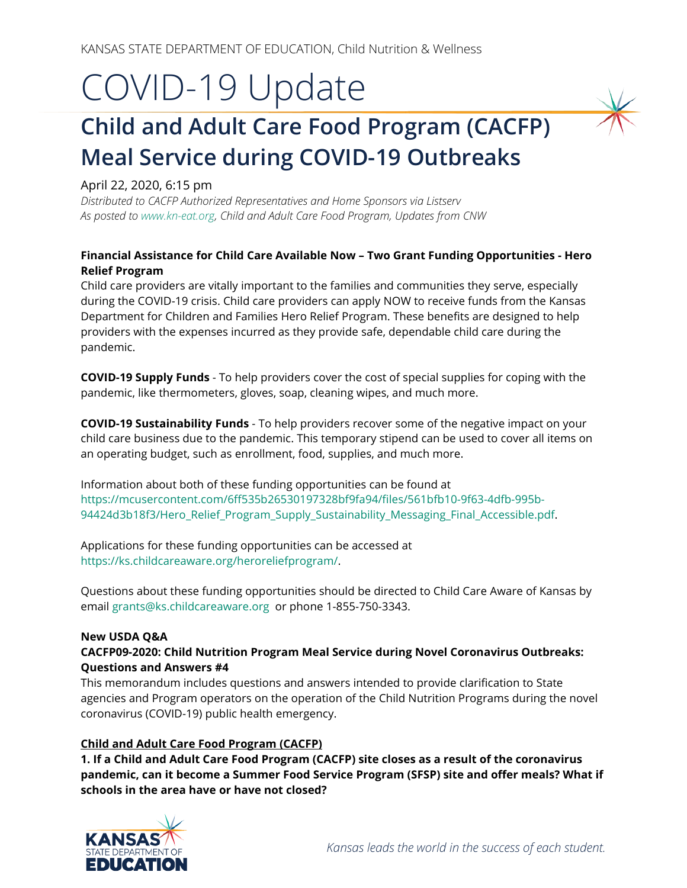# COVID-19 Update

# **Child and Adult Care Food Program (CACFP) Meal Service during COVID-19 Outbreaks**

#### April 22, 2020, 6:15 pm

*Distributed to CACFP Authorized Representatives and Home Sponsors via Listserv As posted t[o www.kn-eat.org,](http://www.kn-eat.org/) Child and Adult Care Food Program, Updates from CNW*

#### **Financial Assistance for Child Care Available Now – Two Grant Funding Opportunities - Hero Relief Program**

Child care providers are vitally important to the families and communities they serve, especially during the COVID-19 crisis. Child care providers can apply NOW to receive funds from the Kansas Department for Children and Families Hero Relief Program. These benefits are designed to help providers with the expenses incurred as they provide safe, dependable child care during the pandemic.

**COVID-19 Supply Funds** - To help providers cover the cost of special supplies for coping with the pandemic, like thermometers, gloves, soap, cleaning wipes, and much more.

**COVID-19 Sustainability Funds** - To help providers recover some of the negative impact on your child care business due to the pandemic. This temporary stipend can be used to cover all items on an operating budget, such as enrollment, food, supplies, and much more.

Information about both of these funding opportunities can be found at [https://mcusercontent.com/6ff535b26530197328bf9fa94/files/561bfb10-9f63-4dfb-995b-](https://mcusercontent.com/6ff535b26530197328bf9fa94/files/561bfb10-9f63-4dfb-995b-94424d3b18f3/Hero_Relief_Program_Supply_Sustainability_Messaging_Final_Accessible.pdf)[94424d3b18f3/Hero\\_Relief\\_Program\\_Supply\\_Sustainability\\_Messaging\\_Final\\_Accessible.pdf.](https://mcusercontent.com/6ff535b26530197328bf9fa94/files/561bfb10-9f63-4dfb-995b-94424d3b18f3/Hero_Relief_Program_Supply_Sustainability_Messaging_Final_Accessible.pdf)

Applications for these funding opportunities can be accessed at [https://ks.childcareaware.org/heroreliefprogram/.](https://ks.childcareaware.org/heroreliefprogram/) 

Questions about these funding opportunities should be directed to Child Care Aware of Kansas by email [grants@ks.childcareaware.org](mailto:grants@ks.childcareaware.org) or phone 1-855-750-3343.

#### **New USDA Q&A**

#### **CACFP09-2020: Child Nutrition Program Meal Service during Novel Coronavirus Outbreaks: Questions and Answers #4**

This memorandum includes questions and answers intended to provide clarification to State agencies and Program operators on the operation of the Child Nutrition Programs during the novel coronavirus (COVID-19) public health emergency.

#### **Child and Adult Care Food Program (CACFP)**

**1. If a Child and Adult Care Food Program (CACFP) site closes as a result of the coronavirus pandemic, can it become a Summer Food Service Program (SFSP) site and offer meals? What if schools in the area have or have not closed?**

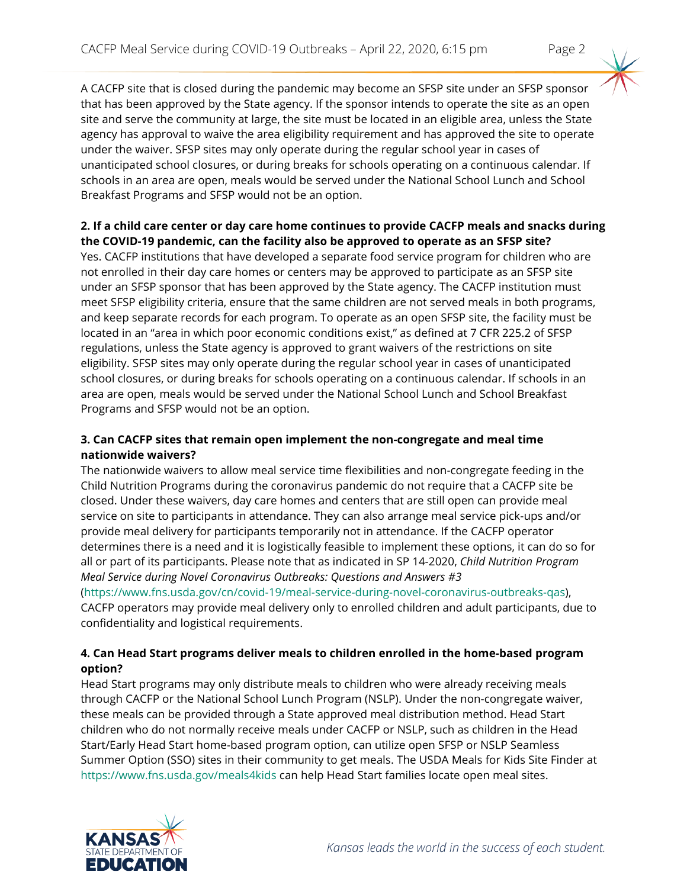A CACFP site that is closed during the pandemic may become an SFSP site under an SFSP sponsor that has been approved by the State agency. If the sponsor intends to operate the site as an open site and serve the community at large, the site must be located in an eligible area, unless the State agency has approval to waive the area eligibility requirement and has approved the site to operate under the waiver. SFSP sites may only operate during the regular school year in cases of unanticipated school closures, or during breaks for schools operating on a continuous calendar. If schools in an area are open, meals would be served under the National School Lunch and School Breakfast Programs and SFSP would not be an option.

#### **2. If a child care center or day care home continues to provide CACFP meals and snacks during the COVID-19 pandemic, can the facility also be approved to operate as an SFSP site?**

Yes. CACFP institutions that have developed a separate food service program for children who are not enrolled in their day care homes or centers may be approved to participate as an SFSP site under an SFSP sponsor that has been approved by the State agency. The CACFP institution must meet SFSP eligibility criteria, ensure that the same children are not served meals in both programs, and keep separate records for each program. To operate as an open SFSP site, the facility must be located in an "area in which poor economic conditions exist," as defined at 7 CFR 225.2 of SFSP regulations, unless the State agency is approved to grant waivers of the restrictions on site eligibility. SFSP sites may only operate during the regular school year in cases of unanticipated school closures, or during breaks for schools operating on a continuous calendar. If schools in an area are open, meals would be served under the National School Lunch and School Breakfast Programs and SFSP would not be an option.

#### **3. Can CACFP sites that remain open implement the non-congregate and meal time nationwide waivers?**

The nationwide waivers to allow meal service time flexibilities and non-congregate feeding in the Child Nutrition Programs during the coronavirus pandemic do not require that a CACFP site be closed. Under these waivers, day care homes and centers that are still open can provide meal service on site to participants in attendance. They can also arrange meal service pick-ups and/or provide meal delivery for participants temporarily not in attendance. If the CACFP operator determines there is a need and it is logistically feasible to implement these options, it can do so for all or part of its participants. Please note that as indicated in SP 14-2020, *Child Nutrition Program Meal Service during Novel Coronavirus Outbreaks: Questions and Answers #3* 

[\(https://www.fns.usda.gov/cn/covid-19/meal-service-during-novel-coronavirus-outbreaks-qas\)](https://www.fns.usda.gov/cn/covid-19/meal-service-during-novel-coronavirus-outbreaks-qas), CACFP operators may provide meal delivery only to enrolled children and adult participants, due to confidentiality and logistical requirements.

#### **4. Can Head Start programs deliver meals to children enrolled in the home-based program option?**

Head Start programs may only distribute meals to children who were already receiving meals through CACFP or the National School Lunch Program (NSLP). Under the non-congregate waiver, these meals can be provided through a State approved meal distribution method. Head Start children who do not normally receive meals under CACFP or NSLP, such as children in the Head Start/Early Head Start home-based program option, can utilize open SFSP or NSLP Seamless Summer Option (SSO) sites in their community to get meals. The USDA Meals for Kids Site Finder at <https://www.fns.usda.gov/meals4kids> can help Head Start families locate open meal sites.

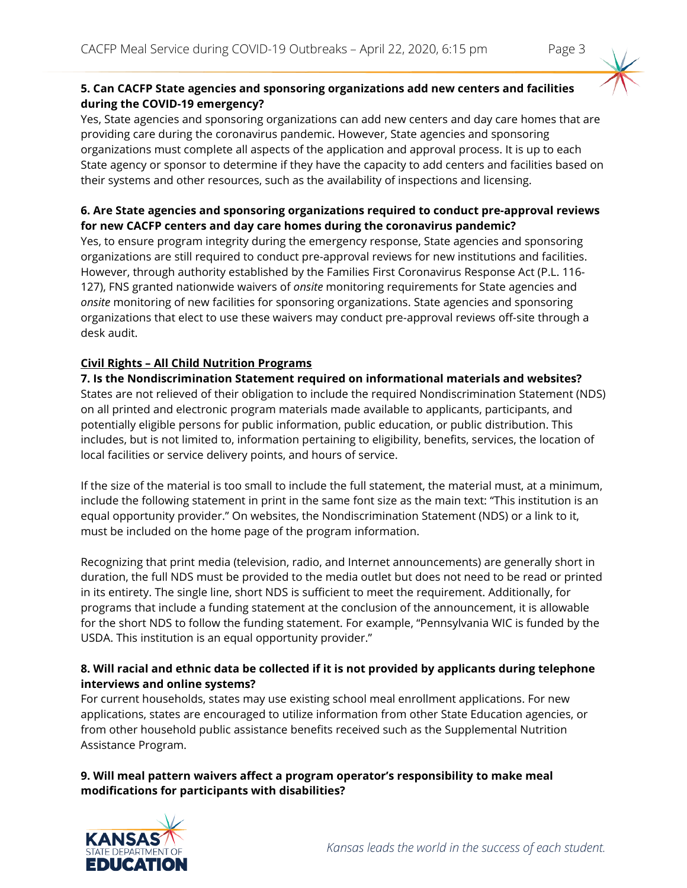### **5. Can CACFP State agencies and sponsoring organizations add new centers and facilities during the COVID-19 emergency?**

Yes, State agencies and sponsoring organizations can add new centers and day care homes that are providing care during the coronavirus pandemic. However, State agencies and sponsoring organizations must complete all aspects of the application and approval process. It is up to each State agency or sponsor to determine if they have the capacity to add centers and facilities based on their systems and other resources, such as the availability of inspections and licensing.

## **6. Are State agencies and sponsoring organizations required to conduct pre-approval reviews for new CACFP centers and day care homes during the coronavirus pandemic?**

Yes, to ensure program integrity during the emergency response, State agencies and sponsoring organizations are still required to conduct pre-approval reviews for new institutions and facilities. However, through authority established by the Families First Coronavirus Response Act (P.L. 116- 127), FNS granted nationwide waivers of *onsite* monitoring requirements for State agencies and *onsite* monitoring of new facilities for sponsoring organizations. State agencies and sponsoring organizations that elect to use these waivers may conduct pre-approval reviews off-site through a desk audit.

# **Civil Rights – All Child Nutrition Programs**

**7. Is the Nondiscrimination Statement required on informational materials and websites?** States are not relieved of their obligation to include the required Nondiscrimination Statement (NDS) on all printed and electronic program materials made available to applicants, participants, and potentially eligible persons for public information, public education, or public distribution. This includes, but is not limited to, information pertaining to eligibility, benefits, services, the location of local facilities or service delivery points, and hours of service.

If the size of the material is too small to include the full statement, the material must, at a minimum, include the following statement in print in the same font size as the main text: "This institution is an equal opportunity provider." On websites, the Nondiscrimination Statement (NDS) or a link to it, must be included on the home page of the program information.

Recognizing that print media (television, radio, and Internet announcements) are generally short in duration, the full NDS must be provided to the media outlet but does not need to be read or printed in its entirety. The single line, short NDS is sufficient to meet the requirement. Additionally, for programs that include a funding statement at the conclusion of the announcement, it is allowable for the short NDS to follow the funding statement. For example, "Pennsylvania WIC is funded by the USDA. This institution is an equal opportunity provider."

#### **8. Will racial and ethnic data be collected if it is not provided by applicants during telephone interviews and online systems?**

For current households, states may use existing school meal enrollment applications. For new applications, states are encouraged to utilize information from other State Education agencies, or from other household public assistance benefits received such as the Supplemental Nutrition Assistance Program.

**9. Will meal pattern waivers affect a program operator's responsibility to make meal modifications for participants with disabilities?**